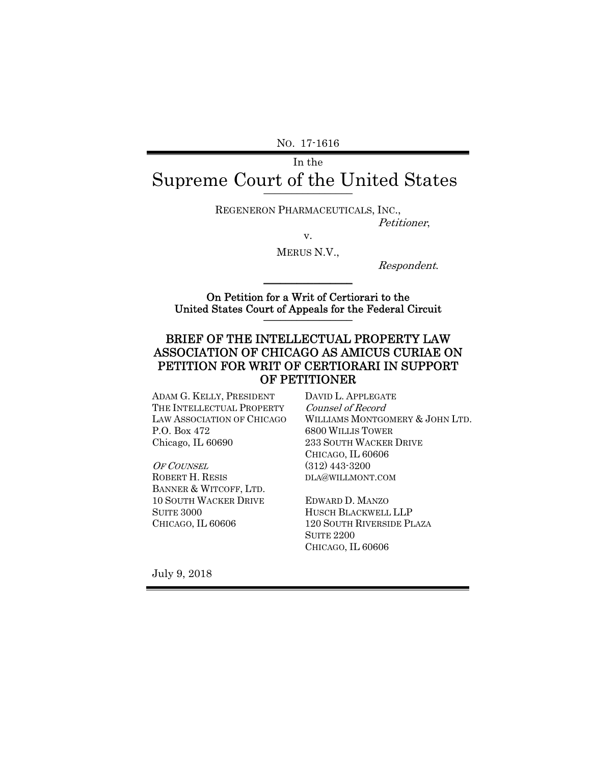NO. 17-1616

# In the Supreme Court of the United States

REGENERON PHARMACEUTICALS, INC.,

Petitioner,

v. MERUS N.V.,

Respondent.

On Petition for a Writ of Certiorari to the United States Court of Appeals for the Federal Circuit \_\_\_\_\_\_\_\_\_\_\_\_\_\_\_\_

 $\frac{1}{2}$  ,  $\frac{1}{2}$  ,  $\frac{1}{2}$  ,  $\frac{1}{2}$  ,  $\frac{1}{2}$  ,  $\frac{1}{2}$  ,  $\frac{1}{2}$  ,  $\frac{1}{2}$  ,  $\frac{1}{2}$  ,  $\frac{1}{2}$ 

#### BRIEF OF THE INTELLECTUAL PROPERTY LAW ASSOCIATION OF CHICAGO AS AMICUS CURIAE ON PETITION FOR WRIT OF CERTIORARI IN SUPPORT OF PETITIONER

ADAM G. KELLY, PRESIDENT THE INTELLECTUAL PROPERTY LAW ASSOCIATION OF CHICAGO P.O. Box 472 Chicago, IL 60690

OF COUNSEL ROBERT H. RESIS BANNER & WITCOFF, LTD. 10 SOUTH WACKER DRIVE SUITE 3000 CHICAGO, IL 60606

DAVID L. APPLEGATE Counsel of Record WILLIAMS MONTGOMERY & JOHN LTD. 6800 WILLIS TOWER 233 SOUTH WACKER DRIVE CHICAGO, IL 60606 (312) 443-3200 DLA@WILLMONT.COM

EDWARD D. MANZO HUSCH BLACKWELL LLP 120 SOUTH RIVERSIDE PLAZA SUITE 2200 CHICAGO, IL 60606

July 9, 2018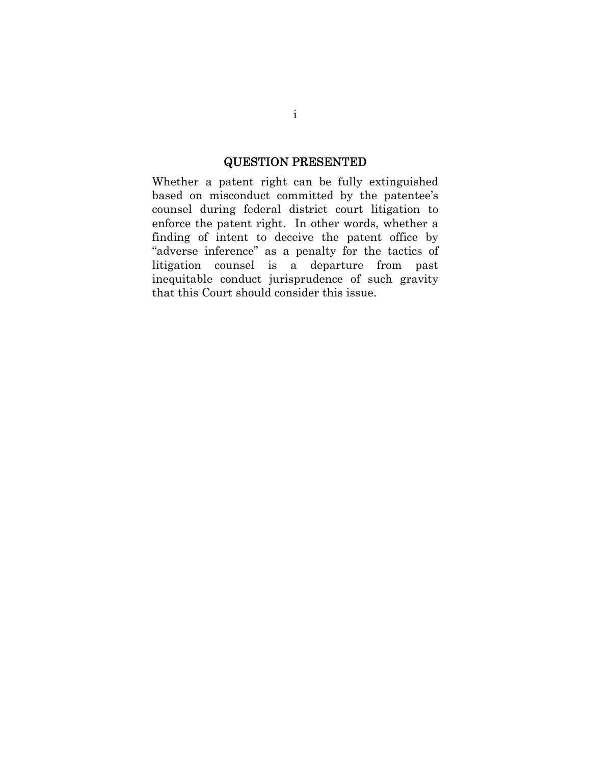### QUESTION PRESENTED

Whether a patent right can be fully extinguished based on misconduct committed by the patentee's counsel during federal district court litigation to enforce the patent right. In other words, whether a finding of intent to deceive the patent office by "adverse inference" as a penalty for the tactics of litigation counsel is a departure from past inequitable conduct jurisprudence of such gravity that this Court should consider this issue.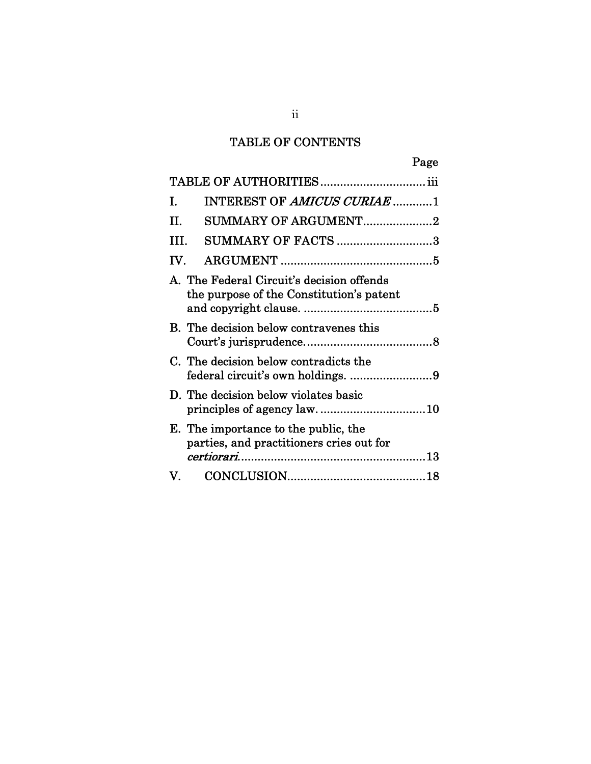## TABLE OF CONTENTS

|                                                                                       |                                                                                  | Page |
|---------------------------------------------------------------------------------------|----------------------------------------------------------------------------------|------|
|                                                                                       |                                                                                  |      |
| I.                                                                                    | INTEREST OF AMICUS CURIAE 1                                                      |      |
| TТ                                                                                    | <b>SUMMARY OF ARGUMENT2</b>                                                      |      |
| TTT.                                                                                  | <b>SUMMARY OF FACTS 3</b>                                                        |      |
| TV.                                                                                   |                                                                                  |      |
| A. The Federal Circuit's decision offends<br>the purpose of the Constitution's patent |                                                                                  |      |
|                                                                                       | B. The decision below contravenes this                                           |      |
|                                                                                       | C. The decision below contradicts the                                            |      |
|                                                                                       | D. The decision below violates basic<br>principles of agency law10               |      |
|                                                                                       | E. The importance to the public, the<br>parties, and practitioners cries out for |      |
|                                                                                       |                                                                                  |      |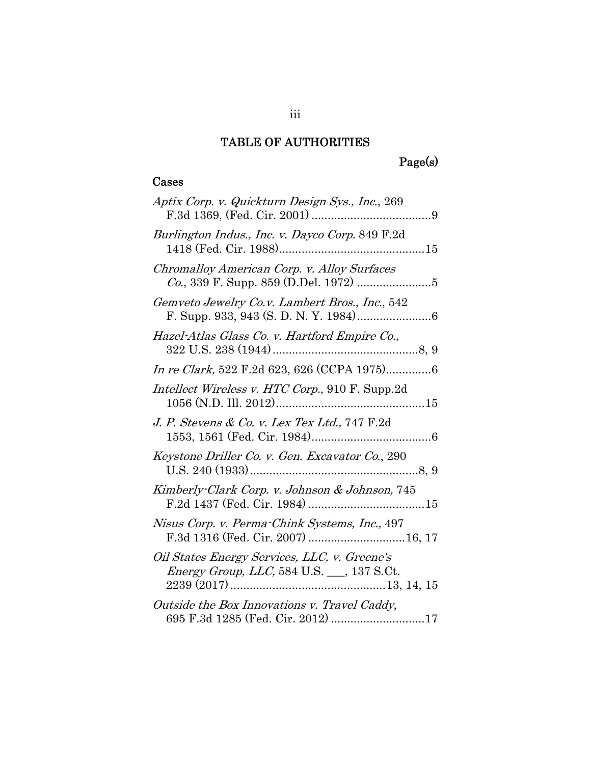## TABLE OF AUTHORITIES

# Page(s)

### Cases

| Aptix Corp. v. Quickturn Design Sys., Inc., 269                                                  |
|--------------------------------------------------------------------------------------------------|
| Burlington Indus., Inc. v. Dayco Corp. 849 F.2d                                                  |
| Chromalloy American Corp. v. Alloy Surfaces                                                      |
| Gemveto Jewelry Co.v. Lambert Bros., Inc., 542                                                   |
| Hazel-Atlas Glass Co. v. Hartford Empire Co.,                                                    |
| In re Clark, 522 F.2d 623, 626 (CCPA 1975)6                                                      |
| Intellect Wireless v. HTC Corp., 910 F. Supp.2d                                                  |
| J. P. Stevens & Co. v. Lex Tex Ltd., 747 F.2d                                                    |
| Keystone Driller Co. v. Gen. Excavator Co., 290                                                  |
| Kimberly-Clark Corp. v. Johnson & Johnson, 745                                                   |
| Nisus Corp. v. Perma-Chink Systems, Inc., 497<br>F.3d 1316 (Fed. Cir. 2007) 16, 17               |
| Oil States Energy Services, LLC, v. Greene's<br><i>Energy Group, LLC,</i> 584 U.S. __, 137 S.Ct. |
| Outside the Box Innovations v. Travel Caddy,<br>695 F.3d 1285 (Fed. Cir. 2012) 17                |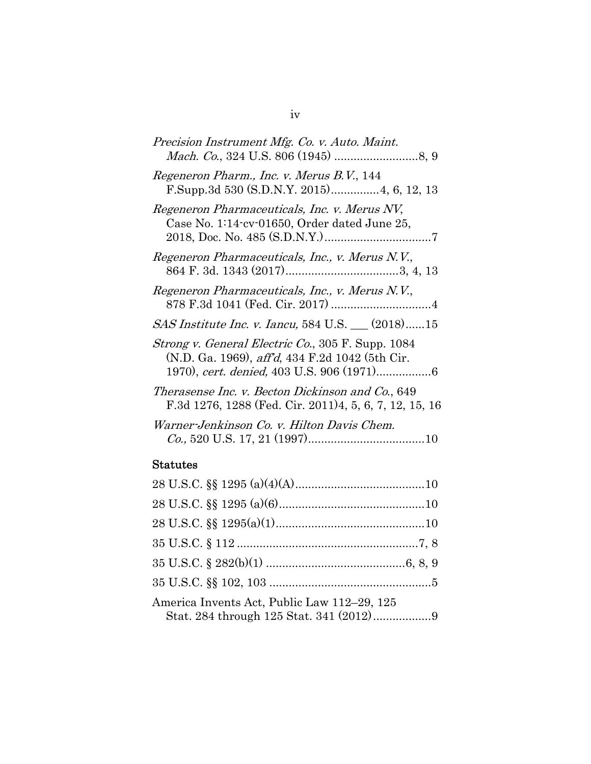| Precision Instrument Mfg. Co. v. Auto. Maint.                                                                |
|--------------------------------------------------------------------------------------------------------------|
| Regeneron Pharm., Inc. v. Merus B.V., 144<br>F.Supp.3d 530 (S.D.N.Y. 2015) 4, 6, 12, 13                      |
| Regeneron Pharmaceuticals, Inc. v. Merus NV,<br>Case No. 1:14-cv-01650, Order dated June 25,                 |
| Regeneron Pharmaceuticals, Inc., v. Merus N.V.,                                                              |
| Regeneron Pharmaceuticals, Inc., v. Merus N.V.,                                                              |
| <i>SAS Institute Inc. v. Iancu</i> , 584 U.S. __ (2018)15                                                    |
| Strong v. General Electric Co., 305 F. Supp. 1084<br>(N.D. Ga. 1969), <i>aff'd</i> , 434 F.2d 1042 (5th Cir. |
| Therasense Inc. v. Becton Dickinson and Co., 649<br>F.3d 1276, 1288 (Fed. Cir. 2011)4, 5, 6, 7, 12, 15, 16   |
| Warner-Jenkinson Co. v. Hilton Davis Chem.                                                                   |
|                                                                                                              |

# Statutes

| America Invents Act, Public Law 112-29, 125<br>Stat. 284 through 125 Stat. 341 (2012)9 |  |
|----------------------------------------------------------------------------------------|--|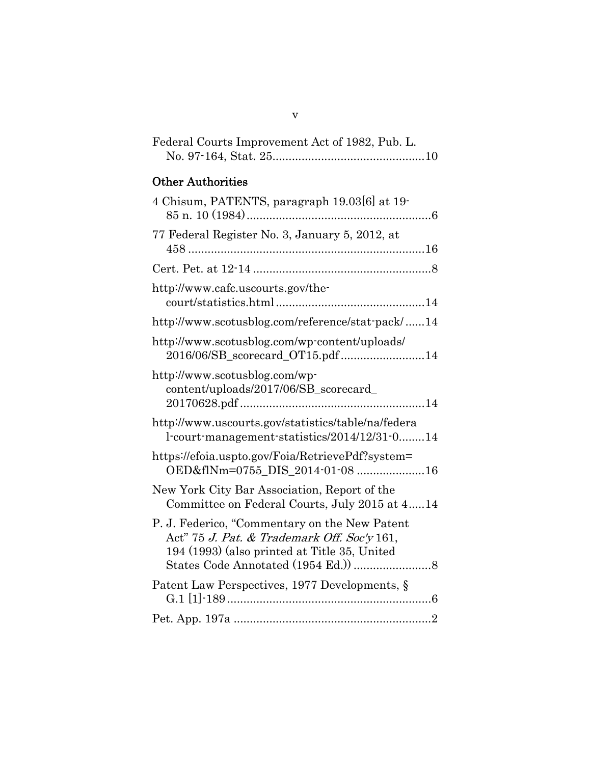| Federal Courts Improvement Act of 1982, Pub. L. |  |
|-------------------------------------------------|--|
|                                                 |  |

# Other Authorities

| 4 Chisum, PATENTS, paragraph 19.03[6] at 19-                                                                                                 |  |
|----------------------------------------------------------------------------------------------------------------------------------------------|--|
| 77 Federal Register No. 3, January 5, 2012, at                                                                                               |  |
|                                                                                                                                              |  |
| http://www.cafc.uscourts.gov/the-                                                                                                            |  |
| http://www.scotusblog.com/reference/stat-pack/14                                                                                             |  |
| http://www.scotusblog.com/wp-content/uploads/<br>2016/06/SB_scorecard_OT15.pdf14                                                             |  |
| http://www.scotusblog.com/wp-<br>content/uploads/2017/06/SB_scorecard_                                                                       |  |
| http://www.uscourts.gov/statistics/table/na/federa<br>l-court-management-statistics/2014/12/31-014                                           |  |
| https://efoia.uspto.gov/Foia/RetrievePdf?system=<br>OED&flNm=0755_DIS_2014-01-08 16                                                          |  |
| New York City Bar Association, Report of the<br>Committee on Federal Courts, July 2015 at 414                                                |  |
| P. J. Federico, "Commentary on the New Patent<br>Act" 75 J. Pat. & Trademark Off. Soc'y 161,<br>194 (1993) (also printed at Title 35, United |  |
| Patent Law Perspectives, 1977 Developments, §                                                                                                |  |
|                                                                                                                                              |  |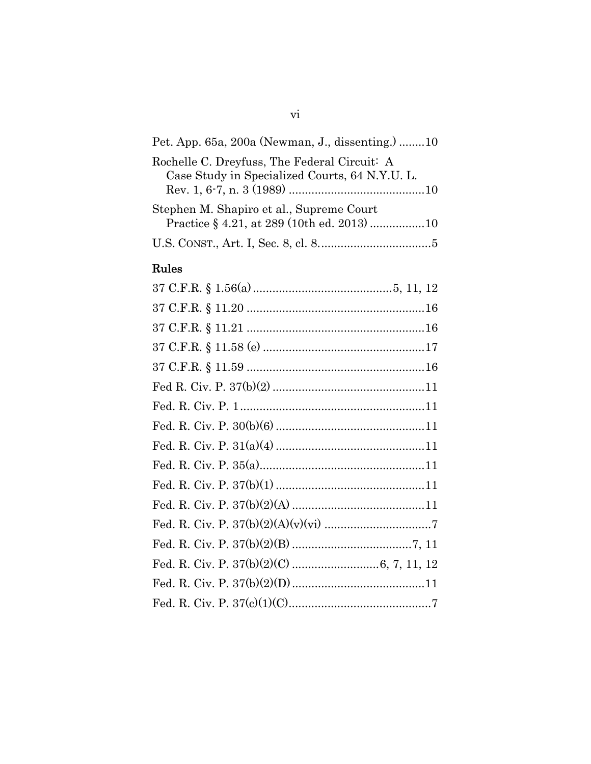| Pet. App. 65a, 200a (Newman, J., dissenting.) 10                                               |
|------------------------------------------------------------------------------------------------|
| Rochelle C. Dreyfuss, The Federal Circuit: A<br>Case Study in Specialized Courts, 64 N.Y.U. L. |
| Stephen M. Shapiro et al., Supreme Court<br>Practice § 4.21, at 289 (10th ed. 2013) 10         |
|                                                                                                |

# Rules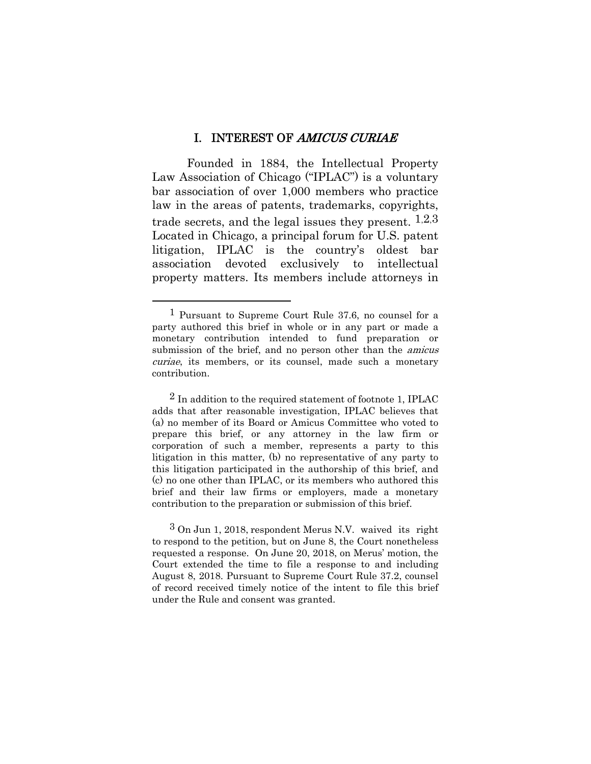#### I. INTEREST OF AMICUS CURIAE

Founded in 1884, the Intellectual Property Law Association of Chicago ("IPLAC") is a voluntary bar association of over 1,000 members who practice law in the areas of patents, trademarks, copyrights, trade secrets, and the legal issues they present.  $1,2,3$ Located in Chicago, a principal forum for U.S. patent litigation, IPLAC is the country's oldest bar association devoted exclusively to intellectual property matters. Its members include attorneys in

<sup>1</sup> Pursuant to Supreme Court Rule 37.6, no counsel for a party authored this brief in whole or in any part or made a monetary contribution intended to fund preparation or submission of the brief, and no person other than the *amicus* curiae, its members, or its counsel, made such a monetary contribution.

 $2$  In addition to the required statement of footnote 1, IPLAC adds that after reasonable investigation, IPLAC believes that (a) no member of its Board or Amicus Committee who voted to prepare this brief, or any attorney in the law firm or corporation of such a member, represents a party to this litigation in this matter, (b) no representative of any party to this litigation participated in the authorship of this brief, and (c) no one other than IPLAC, or its members who authored this brief and their law firms or employers, made a monetary contribution to the preparation or submission of this brief.

<sup>3</sup> On Jun 1, 2018, respondent Merus N.V. waived its right to respond to the petition, but on June 8, the Court nonetheless requested a response. On June 20, 2018, on Merus' motion, the Court extended the time to file a response to and including August 8, 2018. Pursuant to Supreme Court Rule 37.2, counsel of record received timely notice of the intent to file this brief under the Rule and consent was granted.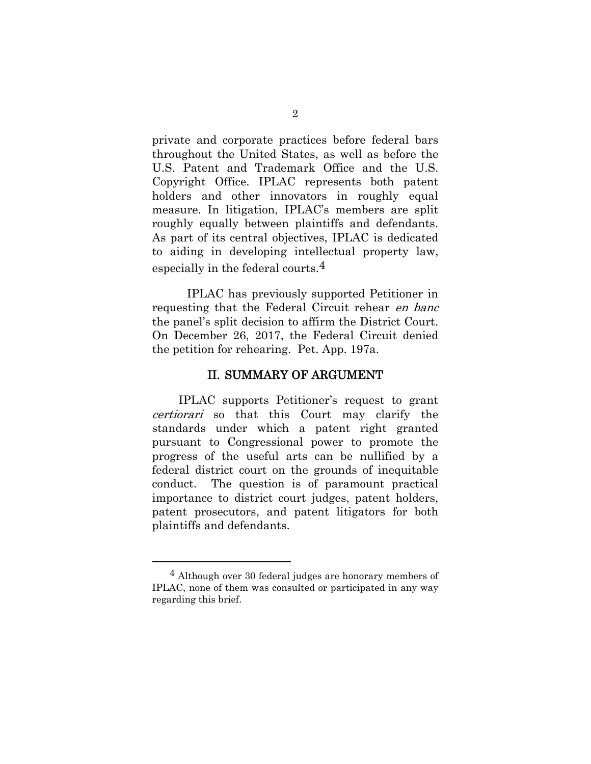private and corporate practices before federal bars throughout the United States, as well as before the U.S. Patent and Trademark Office and the U.S. Copyright Office. IPLAC represents both patent holders and other innovators in roughly equal measure. In litigation, IPLAC's members are split roughly equally between plaintiffs and defendants. As part of its central objectives, IPLAC is dedicated to aiding in developing intellectual property law, especially in the federal courts.4

IPLAC has previously supported Petitioner in requesting that the Federal Circuit rehear en banc the panel's split decision to affirm the District Court. On December 26, 2017, the Federal Circuit denied the petition for rehearing. Pet. App. 197a.

#### II. SUMMARY OF ARGUMENT

IPLAC supports Petitioner's request to grant certiorari so that this Court may clarify the standards under which a patent right granted pursuant to Congressional power to promote the progress of the useful arts can be nullified by a federal district court on the grounds of inequitable conduct. The question is of paramount practical importance to district court judges, patent holders, patent prosecutors, and patent litigators for both plaintiffs and defendants.

<sup>4</sup> Although over 30 federal judges are honorary members of IPLAC, none of them was consulted or participated in any way regarding this brief.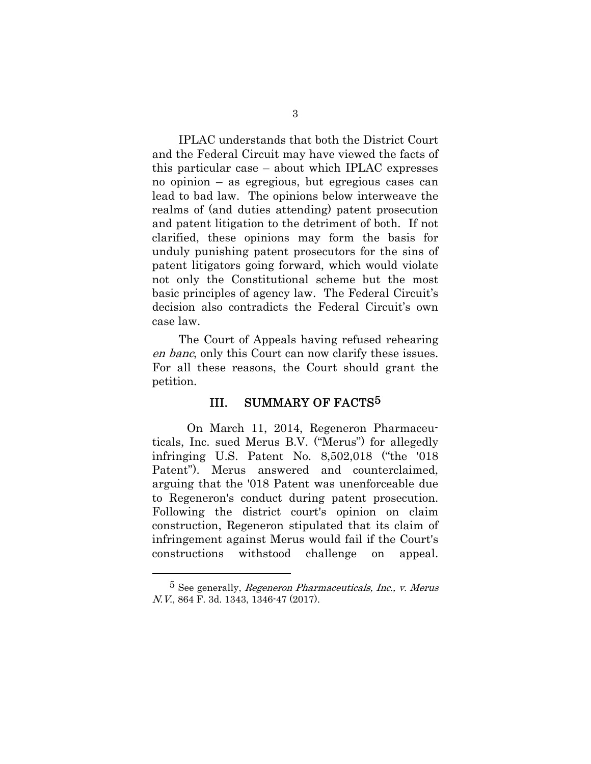IPLAC understands that both the District Court and the Federal Circuit may have viewed the facts of this particular case – about which IPLAC expresses no opinion – as egregious, but egregious cases can lead to bad law. The opinions below interweave the realms of (and duties attending) patent prosecution and patent litigation to the detriment of both. If not clarified, these opinions may form the basis for unduly punishing patent prosecutors for the sins of patent litigators going forward, which would violate not only the Constitutional scheme but the most basic principles of agency law. The Federal Circuit's decision also contradicts the Federal Circuit's own case law.

The Court of Appeals having refused rehearing en banc, only this Court can now clarify these issues. For all these reasons, the Court should grant the petition.

#### III. SUMMARY OF FACTS<sup>5</sup>

On March 11, 2014, Regeneron Pharmaceuticals, Inc. sued Merus B.V. ("Merus") for allegedly infringing U.S. Patent No. 8,502,018 ("the '018 Patent"). Merus answered and counterclaimed, arguing that the '018 Patent was unenforceable due to Regeneron's conduct during patent prosecution. Following the district court's opinion on claim construction, Regeneron stipulated that its claim of infringement against Merus would fail if the Court's constructions withstood challenge on appeal.

<sup>&</sup>lt;sup>5</sup> See generally, *Regeneron Pharmaceuticals, Inc., v. Merus* N.V., 864 F. 3d. 1343, 1346-47 (2017).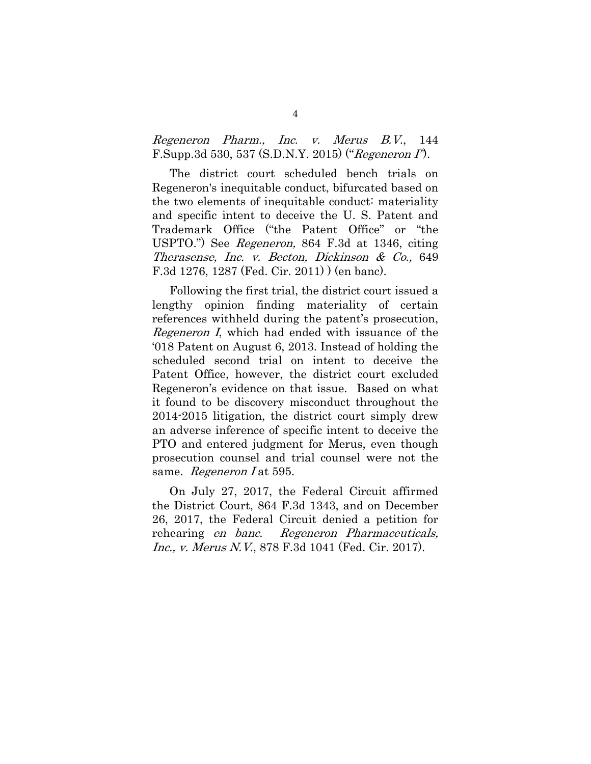Regeneron Pharm., Inc. v. Merus B.V., 144 F.Supp.3d 530, 537 (S.D.N.Y. 2015) ("Regeneron I").

The district court scheduled bench trials on Regeneron's inequitable conduct, bifurcated based on the two elements of inequitable conduct: materiality and specific intent to deceive the U. S. Patent and Trademark Office ("the Patent Office" or "the USPTO.") See Regeneron, 864 F.3d at 1346, citing Therasense, Inc. v. Becton, Dickinson & Co., 649 F.3d 1276, 1287 (Fed. Cir. 2011) ) (en banc).

Following the first trial, the district court issued a lengthy opinion finding materiality of certain references withheld during the patent's prosecution, Regeneron I, which had ended with issuance of the '018 Patent on August 6, 2013. Instead of holding the scheduled second trial on intent to deceive the Patent Office, however, the district court excluded Regeneron's evidence on that issue. Based on what it found to be discovery misconduct throughout the 2014-2015 litigation, the district court simply drew an adverse inference of specific intent to deceive the PTO and entered judgment for Merus, even though prosecution counsel and trial counsel were not the same. Regeneron I at 595.

On July 27, 2017, the Federal Circuit affirmed the District Court, 864 F.3d 1343, and on December 26, 2017, the Federal Circuit denied a petition for rehearing en banc. Regeneron Pharmaceuticals, Inc., v. Merus N.V., 878 F.3d 1041 (Fed. Cir. 2017).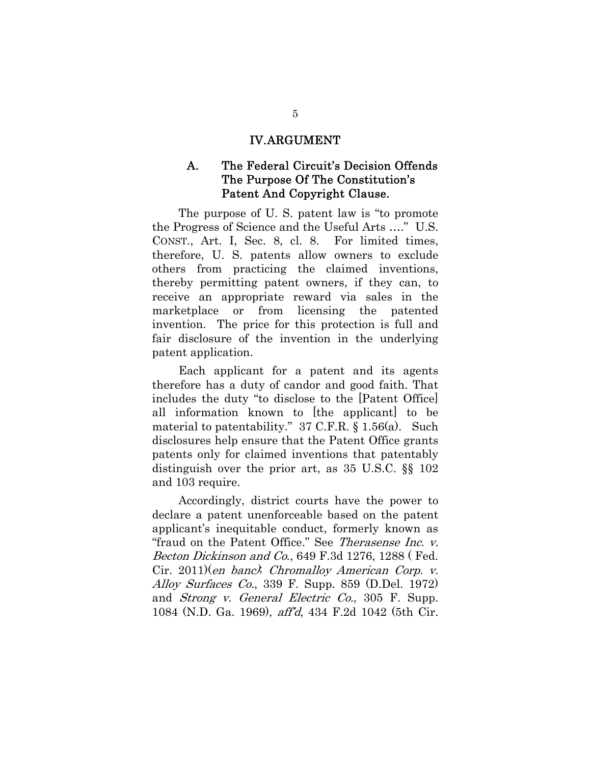#### IV.ARGUMENT

#### A. The Federal Circuit's Decision Offends The Purpose Of The Constitution's Patent And Copyright Clause.

The purpose of U. S. patent law is "to promote the Progress of Science and the Useful Arts …." U.S. CONST., Art. I, Sec. 8, cl. 8. For limited times, therefore, U. S. patents allow owners to exclude others from practicing the claimed inventions, thereby permitting patent owners, if they can, to receive an appropriate reward via sales in the marketplace or from licensing the patented invention. The price for this protection is full and fair disclosure of the invention in the underlying patent application.

Each applicant for a patent and its agents therefore has a duty of candor and good faith. That includes the duty "to disclose to the [Patent Office] all information known to [the applicant] to be material to patentability." 37 C.F.R. § 1.56(a). Such disclosures help ensure that the Patent Office grants patents only for claimed inventions that patentably distinguish over the prior art, as 35 U.S.C. §§ 102 and 103 require.

Accordingly, district courts have the power to declare a patent unenforceable based on the patent applicant's inequitable conduct, formerly known as "fraud on the Patent Office." See Therasense Inc. v. Becton Dickinson and Co., 649 F.3d 1276, 1288 (Fed. Cir. 2011)(en banc); Chromalloy American Corp. v. Alloy Surfaces Co., 339 F. Supp. 859 (D.Del. 1972) and Strong v. General Electric Co., 305 F. Supp. 1084 (N.D. Ga. 1969), aff'd, 434 F.2d 1042 (5th Cir.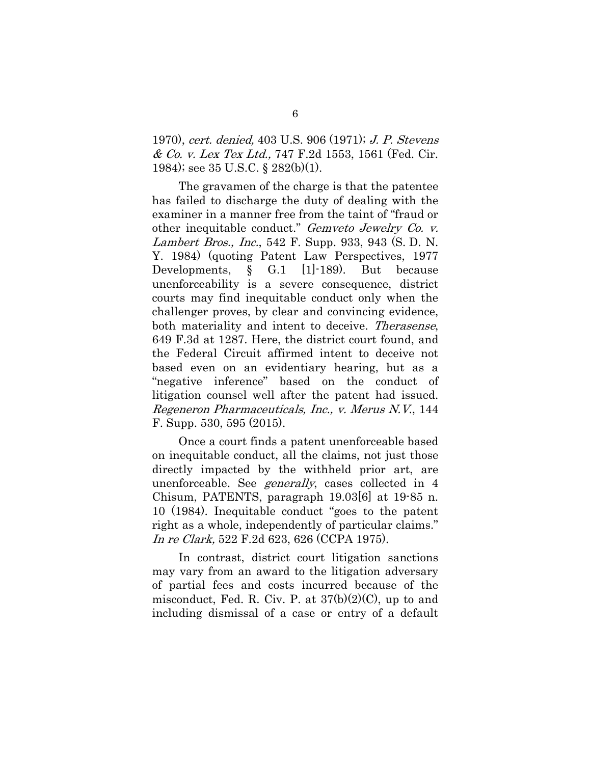1970), cert. denied, 403 U.S. 906 (1971); J. P. Stevens & Co. v. Lex Tex Ltd., 747 F.2d 1553, 1561 (Fed. Cir. 1984); see 35 U.S.C. § 282(b)(1).

The gravamen of the charge is that the patentee has failed to discharge the duty of dealing with the examiner in a manner free from the taint of "fraud or other inequitable conduct." Gemveto Jewelry Co. v. Lambert Bros., Inc., 542 F. Supp. 933, 943 (S. D. N. Y. 1984) (quoting Patent Law Perspectives, 1977 Developments, § G.1 [1]-189). But because unenforceability is a severe consequence, district courts may find inequitable conduct only when the challenger proves, by clear and convincing evidence, both materiality and intent to deceive. Therasense, 649 F.3d at 1287. Here, the district court found, and the Federal Circuit affirmed intent to deceive not based even on an evidentiary hearing, but as a "negative inference" based on the conduct of litigation counsel well after the patent had issued. Regeneron Pharmaceuticals, Inc., v. Merus N.V., 144 F. Supp. 530, 595 (2015).

Once a court finds a patent unenforceable based on inequitable conduct, all the claims, not just those directly impacted by the withheld prior art, are unenforceable. See generally, cases collected in 4 Chisum, PATENTS, paragraph 19.03[6] at 19-85 n. 10 (1984). Inequitable conduct "goes to the patent right as a whole, independently of particular claims." In re Clark, 522 F.2d 623, 626 (CCPA 1975).

In contrast, district court litigation sanctions may vary from an award to the litigation adversary of partial fees and costs incurred because of the misconduct, Fed. R. Civ. P. at 37(b)(2)(C), up to and including dismissal of a case or entry of a default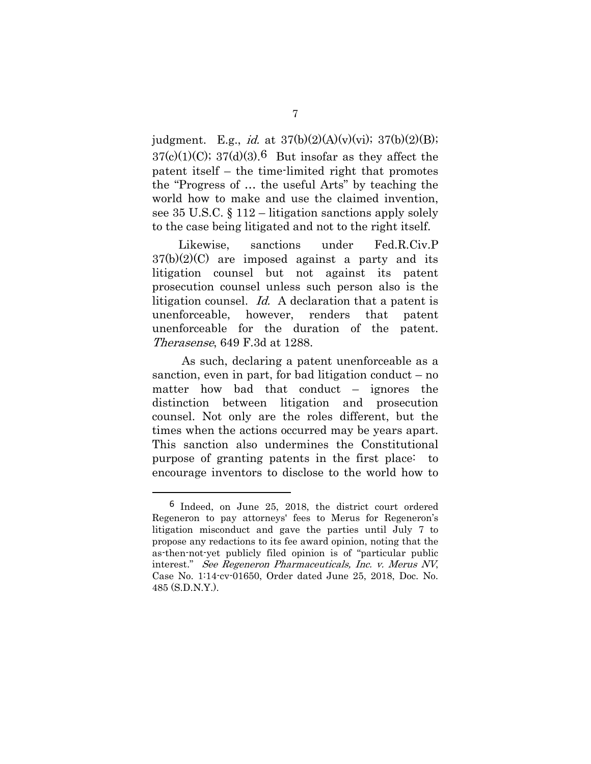judgment. E.g., *id.* at  $37(b)(2)(A)(v)(vi)$ ;  $37(b)(2)(B)$ ;  $37(c)(1)(C)$ ;  $37(d)(3)$ .<sup>6</sup> But insofar as they affect the patent itself – the time-limited right that promotes the "Progress of … the useful Arts" by teaching the world how to make and use the claimed invention, see 35 U.S.C.  $\S 112$  – litigation sanctions apply solely to the case being litigated and not to the right itself.

Likewise, sanctions under Fed.R.Civ.P  $37(b)(2)(C)$  are imposed against a party and its litigation counsel but not against its patent prosecution counsel unless such person also is the litigation counsel. Id. A declaration that a patent is unenforceable, however, renders that patent unenforceable for the duration of the patent. Therasense, 649 F.3d at 1288.

 As such, declaring a patent unenforceable as a sanction, even in part, for bad litigation conduct  $-$  no matter how bad that conduct – ignores the distinction between litigation and prosecution counsel. Not only are the roles different, but the times when the actions occurred may be years apart. This sanction also undermines the Constitutional purpose of granting patents in the first place: to encourage inventors to disclose to the world how to

<sup>6</sup> Indeed, on June 25, 2018, the district court ordered Regeneron to pay attorneys' fees to Merus for Regeneron's litigation misconduct and gave the parties until July 7 to propose any redactions to its fee award opinion, noting that the as-then-not-yet publicly filed opinion is of "particular public interest." See Regeneron Pharmaceuticals, Inc. v. Merus NV, Case No. 1:14-cv-01650, Order dated June 25, 2018, Doc. No. 485 (S.D.N.Y.).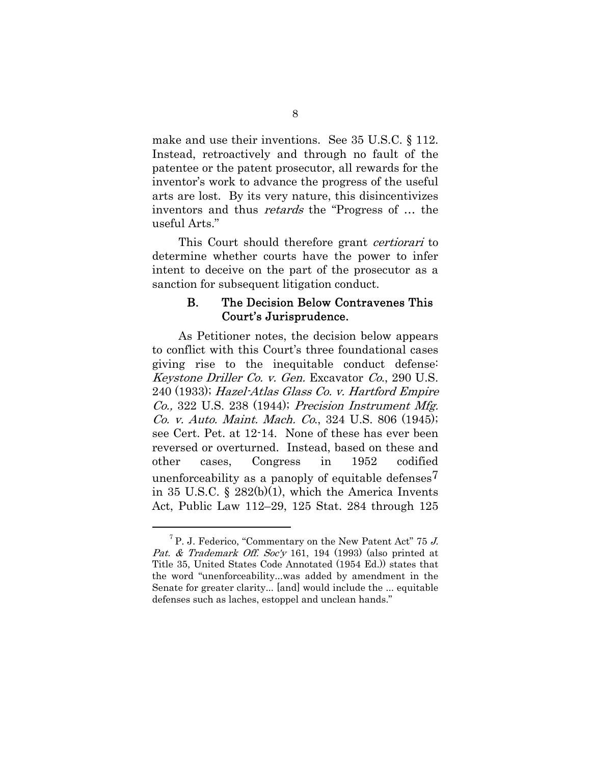make and use their inventions. See 35 U.S.C. § 112. Instead, retroactively and through no fault of the patentee or the patent prosecutor, all rewards for the inventor's work to advance the progress of the useful arts are lost. By its very nature, this disincentivizes inventors and thus retards the "Progress of … the useful Arts."

This Court should therefore grant certiorari to determine whether courts have the power to infer intent to deceive on the part of the prosecutor as a sanction for subsequent litigation conduct.

#### B. The Decision Below Contravenes This Court's Jurisprudence.

As Petitioner notes, the decision below appears to conflict with this Court's three foundational cases giving rise to the inequitable conduct defense: Keystone Driller Co. v. Gen. Excavator Co., 290 U.S. 240 (1933); Hazel-Atlas Glass Co. v. Hartford Empire Co., 322 U.S. 238 (1944); Precision Instrument Mfg. Co. v. Auto. Maint. Mach. Co., 324 U.S. 806 (1945); see Cert. Pet. at 12-14. None of these has ever been reversed or overturned. Instead, based on these and other cases, Congress in 1952 codified unenforceability as a panoply of equitable defenses7 in 35 U.S.C. §  $282(b)(1)$ , which the America Invents Act, Public Law 112–29, 125 Stat. 284 through 125

 $^{7}$  P. J. Federico, "Commentary on the New Patent Act" 75 J. Pat. & Trademark Off. Soc'y 161, 194 (1993) (also printed at Title 35, United States Code Annotated (1954 Ed.)) states that the word "unenforceability...was added by amendment in the Senate for greater clarity... [and] would include the ... equitable defenses such as laches, estoppel and unclean hands."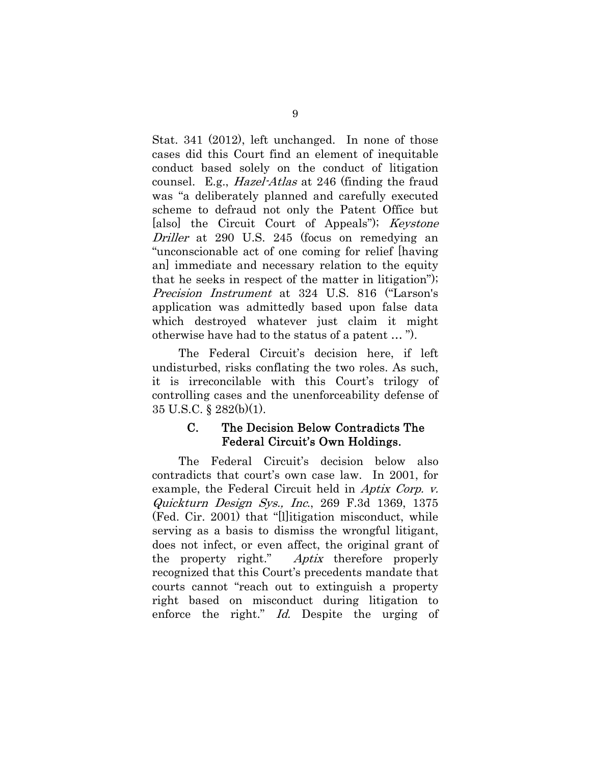Stat. 341 (2012), left unchanged. In none of those cases did this Court find an element of inequitable conduct based solely on the conduct of litigation counsel. E.g., Hazel-Atlas at 246 (finding the fraud was "a deliberately planned and carefully executed scheme to defraud not only the Patent Office but [also] the Circuit Court of Appeals"); *Keystone* Driller at 290 U.S. 245 (focus on remedying an "unconscionable act of one coming for relief [having an] immediate and necessary relation to the equity that he seeks in respect of the matter in litigation"); Precision Instrument at 324 U.S. 816 ("Larson's application was admittedly based upon false data which destroyed whatever just claim it might otherwise have had to the status of a patent … ").

The Federal Circuit's decision here, if left undisturbed, risks conflating the two roles. As such, it is irreconcilable with this Court's trilogy of controlling cases and the unenforceability defense of 35 U.S.C. § 282(b)(1).

#### C. The Decision Below Contradicts The Federal Circuit's Own Holdings.

The Federal Circuit's decision below also contradicts that court's own case law. In 2001, for example, the Federal Circuit held in Aptix Corp. v. Quickturn Design Sys., Inc., 269 F.3d 1369, 1375 (Fed. Cir. 2001) that "[l]itigation misconduct, while serving as a basis to dismiss the wrongful litigant, does not infect, or even affect, the original grant of the property right." Aptix therefore properly recognized that this Court's precedents mandate that courts cannot "reach out to extinguish a property right based on misconduct during litigation to enforce the right." Id. Despite the urging of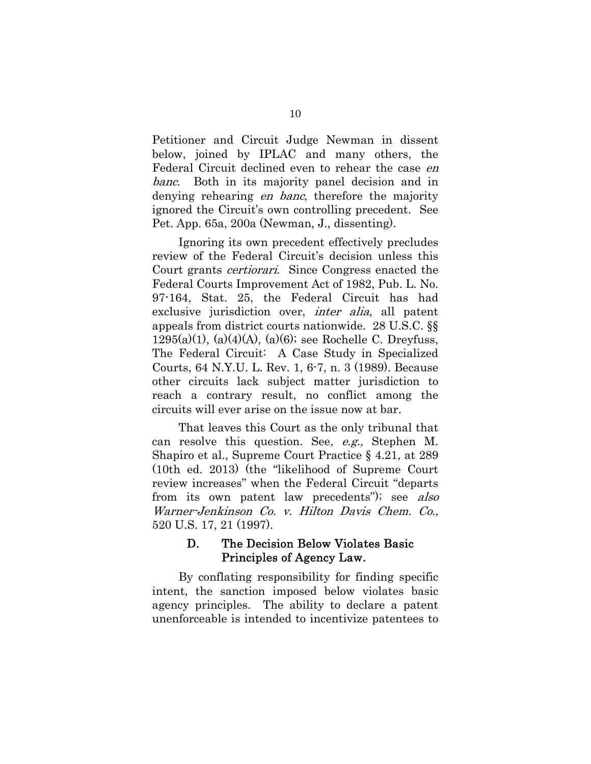Petitioner and Circuit Judge Newman in dissent below, joined by IPLAC and many others, the Federal Circuit declined even to rehear the case en banc. Both in its majority panel decision and in denying rehearing *en banc*, therefore the majority ignored the Circuit's own controlling precedent. See Pet. App. 65a, 200a (Newman, J., dissenting).

Ignoring its own precedent effectively precludes review of the Federal Circuit's decision unless this Court grants certiorari. Since Congress enacted the Federal Courts Improvement Act of 1982, Pub. L. No. 97-164, Stat. 25, the Federal Circuit has had exclusive jurisdiction over, *inter alia*, all patent appeals from district courts nationwide. 28 U.S.C. §§ 1295(a)(1), (a)(4)(A), (a)(6); see Rochelle C. Dreyfuss, The Federal Circuit: A Case Study in Specialized Courts, 64 N.Y.U. L. Rev. 1, 6-7, n. 3 (1989). Because other circuits lack subject matter jurisdiction to reach a contrary result, no conflict among the circuits will ever arise on the issue now at bar.

That leaves this Court as the only tribunal that can resolve this question. See, e.g., Stephen M. Shapiro et al., Supreme Court Practice § 4.21, at 289 (10th ed. 2013) (the "likelihood of Supreme Court review increases" when the Federal Circuit "departs from its own patent law precedents"); see also Warner-Jenkinson Co. v. Hilton Davis Chem. Co., 520 U.S. 17, 21 (1997).

#### D. The Decision Below Violates Basic Principles of Agency Law.

By conflating responsibility for finding specific intent, the sanction imposed below violates basic agency principles. The ability to declare a patent unenforceable is intended to incentivize patentees to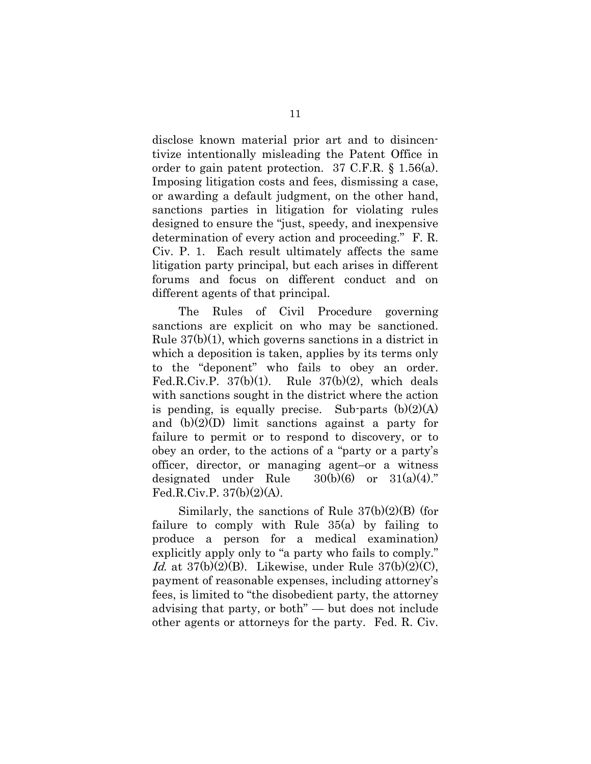disclose known material prior art and to disincentivize intentionally misleading the Patent Office in order to gain patent protection. 37 C.F.R. § 1.56(a). Imposing litigation costs and fees, dismissing a case, or awarding a default judgment, on the other hand, sanctions parties in litigation for violating rules designed to ensure the "just, speedy, and inexpensive determination of every action and proceeding." F. R. Civ. P. 1. Each result ultimately affects the same litigation party principal, but each arises in different forums and focus on different conduct and on different agents of that principal.

The Rules of Civil Procedure governing sanctions are explicit on who may be sanctioned. Rule  $37(b)(1)$ , which governs sanctions in a district in which a deposition is taken, applies by its terms only to the "deponent" who fails to obey an order. Fed.R.Civ.P.  $37(b)(1)$ . Rule  $37(b)(2)$ , which deals with sanctions sought in the district where the action is pending, is equally precise. Sub-parts  $(b)(2)(A)$ and (b)(2)(D) limit sanctions against a party for failure to permit or to respond to discovery, or to obey an order, to the actions of a "party or a party's officer, director, or managing agent–or a witness designated under Rule  $30(b)(6)$  or  $31(a)(4)$ ." Fed.R.Civ.P.  $37(b)(2)(A)$ .

Similarly, the sanctions of Rule 37(b)(2)(B) (for failure to comply with Rule 35(a) by failing to produce a person for a medical examination) explicitly apply only to "a party who fails to comply." Id. at  $37(b)(2)(B)$ . Likewise, under Rule  $37(b)(2)(C)$ , payment of reasonable expenses, including attorney's fees, is limited to "the disobedient party, the attorney advising that party, or both" — but does not include other agents or attorneys for the party. Fed. R. Civ.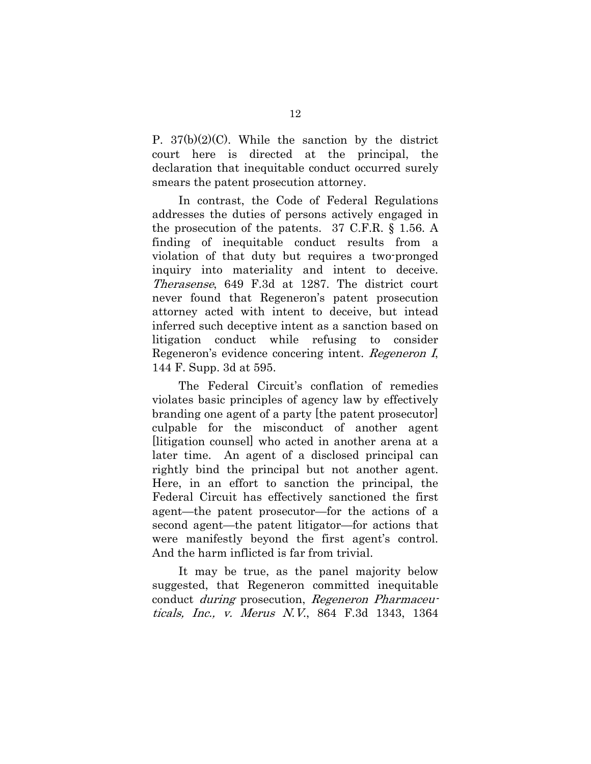P.  $37(b)(2)(C)$ . While the sanction by the district court here is directed at the principal, the declaration that inequitable conduct occurred surely smears the patent prosecution attorney.

In contrast, the Code of Federal Regulations addresses the duties of persons actively engaged in the prosecution of the patents. 37 C.F.R. § 1.56. A finding of inequitable conduct results from a violation of that duty but requires a two-pronged inquiry into materiality and intent to deceive. Therasense, 649 F.3d at 1287. The district court never found that Regeneron's patent prosecution attorney acted with intent to deceive, but intead inferred such deceptive intent as a sanction based on litigation conduct while refusing to consider Regeneron's evidence concering intent. Regeneron I, 144 F. Supp. 3d at 595.

The Federal Circuit's conflation of remedies violates basic principles of agency law by effectively branding one agent of a party [the patent prosecutor] culpable for the misconduct of another agent [litigation counsel] who acted in another arena at a later time. An agent of a disclosed principal can rightly bind the principal but not another agent. Here, in an effort to sanction the principal, the Federal Circuit has effectively sanctioned the first agent—the patent prosecutor—for the actions of a second agent—the patent litigator—for actions that were manifestly beyond the first agent's control. And the harm inflicted is far from trivial.

It may be true, as the panel majority below suggested, that Regeneron committed inequitable conduct during prosecution, Regeneron Pharmaceuticals, Inc., v. Merus N.V., 864 F.3d 1343, 1364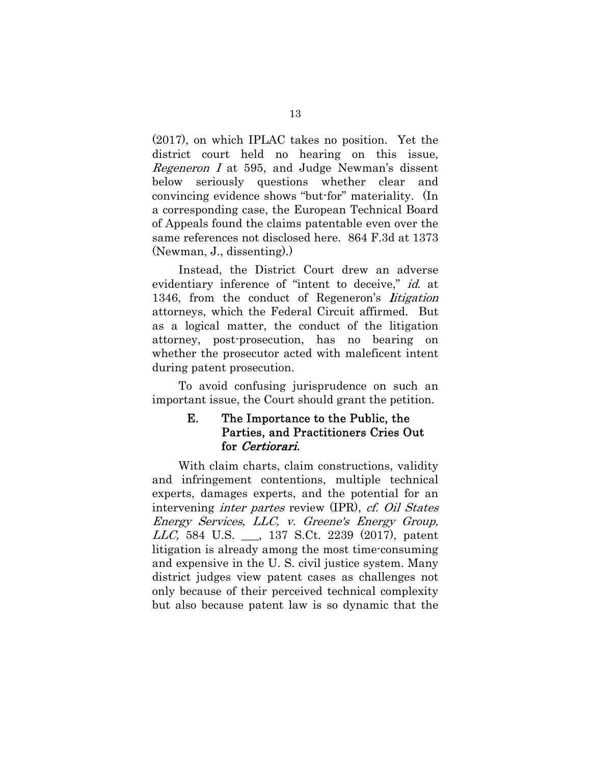(2017), on which IPLAC takes no position. Yet the district court held no hearing on this issue, Regeneron I at 595, and Judge Newman's dissent below seriously questions whether clear and convincing evidence shows "but-for" materiality. (In a corresponding case, the European Technical Board of Appeals found the claims patentable even over the same references not disclosed here. 864 F.3d at 1373 (Newman, J., dissenting).)

Instead, the District Court drew an adverse evidentiary inference of "intent to deceive," id. at 1346, from the conduct of Regeneron's litigation attorneys, which the Federal Circuit affirmed. But as a logical matter, the conduct of the litigation attorney, post-prosecution, has no bearing on whether the prosecutor acted with maleficent intent during patent prosecution.

To avoid confusing jurisprudence on such an important issue, the Court should grant the petition.

### E. The Importance to the Public, the Parties, and Practitioners Cries Out for Certiorari.

With claim charts, claim constructions, validity and infringement contentions, multiple technical experts, damages experts, and the potential for an intervening inter partes review (IPR), cf. Oil States Energy Services, LLC, v. Greene's Energy Group, LLC, 584 U.S. \_\_\_, 137 S.Ct. 2239 (2017), patent litigation is already among the most time-consuming and expensive in the U. S. civil justice system. Many district judges view patent cases as challenges not only because of their perceived technical complexity but also because patent law is so dynamic that the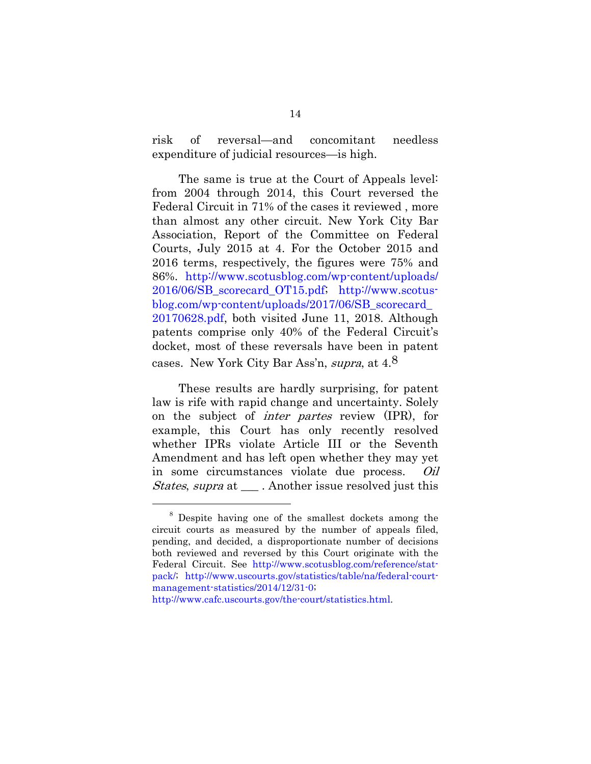risk of reversal—and concomitant needless expenditure of judicial resources—is high.

The same is true at the Court of Appeals level: from 2004 through 2014, this Court reversed the Federal Circuit in 71% of the cases it reviewed , more than almost any other circuit. New York City Bar Association, Report of the Committee on Federal Courts, July 2015 at 4. For the October 2015 and 2016 terms, respectively, the figures were 75% and 86%. http://www.scotusblog.com/wp-content/uploads/ 2016/06/SB\_scorecard\_OT15.pdf; http://www.scotusblog.com/wp-content/uploads/2017/06/SB scorecard 20170628.pdf, both visited June 11, 2018. Although patents comprise only 40% of the Federal Circuit's docket, most of these reversals have been in patent cases. New York City Bar Ass'n, supra, at 4.8

These results are hardly surprising, for patent law is rife with rapid change and uncertainty. Solely on the subject of inter partes review (IPR), for example, this Court has only recently resolved whether IPRs violate Article III or the Seventh Amendment and has left open whether they may yet in some circumstances violate due process. Oil States, supra at \_\_\_ . Another issue resolved just this

<sup>8</sup> Despite having one of the smallest dockets among the circuit courts as measured by the number of appeals filed, pending, and decided, a disproportionate number of decisions both reviewed and reversed by this Court originate with the Federal Circuit. See http://www.scotusblog.com/reference/statpack/; http://www.uscourts.gov/statistics/table/na/federal-courtmanagement-statistics/2014/12/31-0;

http://www.cafc.uscourts.gov/the-court/statistics.html.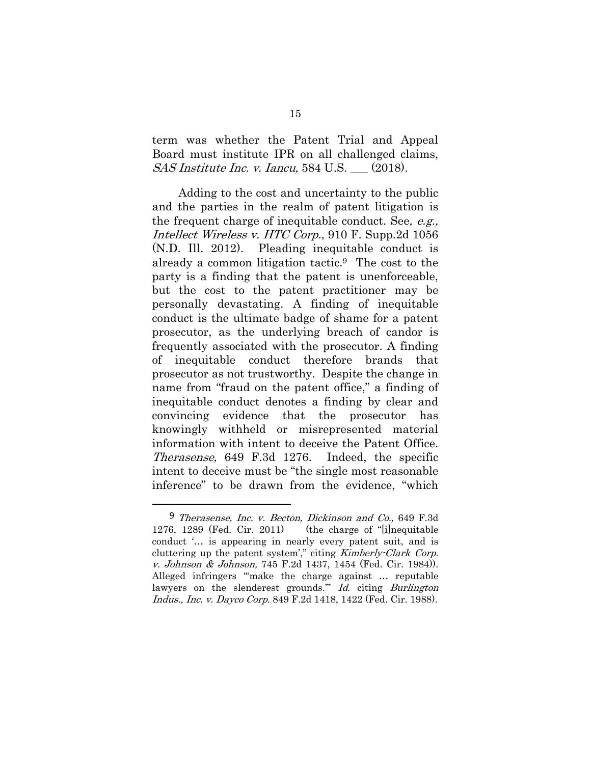term was whether the Patent Trial and Appeal Board must institute IPR on all challenged claims,  $SAS Institute Inc. v. Iancu, 584 U.S.$  (2018).

Adding to the cost and uncertainty to the public and the parties in the realm of patent litigation is the frequent charge of inequitable conduct. See, e.g., Intellect Wireless v. HTC Corp., 910 F. Supp.2d 1056 (N.D. Ill. 2012). Pleading inequitable conduct is already a common litigation tactic.9 The cost to the party is a finding that the patent is unenforceable, but the cost to the patent practitioner may be personally devastating. A finding of inequitable conduct is the ultimate badge of shame for a patent prosecutor, as the underlying breach of candor is frequently associated with the prosecutor. A finding of inequitable conduct therefore brands that prosecutor as not trustworthy. Despite the change in name from "fraud on the patent office," a finding of inequitable conduct denotes a finding by clear and convincing evidence that the prosecutor has knowingly withheld or misrepresented material information with intent to deceive the Patent Office. Therasense, 649 F.3d 1276. Indeed, the specific intent to deceive must be "the single most reasonable inference" to be drawn from the evidence, "which

<sup>&</sup>lt;sup>9</sup> Therasense, Inc. v. Becton, Dickinson and Co., 649 F.3d 1276, 1289 (Fed. Cir. 2011) (the charge of "[i]nequitable conduct '… is appearing in nearly every patent suit, and is cluttering up the patent system'," citing Kimberly-Clark Corp. v. Johnson & Johnson, 745 F.2d 1437, 1454 (Fed. Cir. 1984)). Alleged infringers "'make the charge against … reputable lawyers on the slenderest grounds." Id. citing Burlington Indus., Inc. v. Dayco Corp. 849 F.2d 1418, 1422 (Fed. Cir. 1988).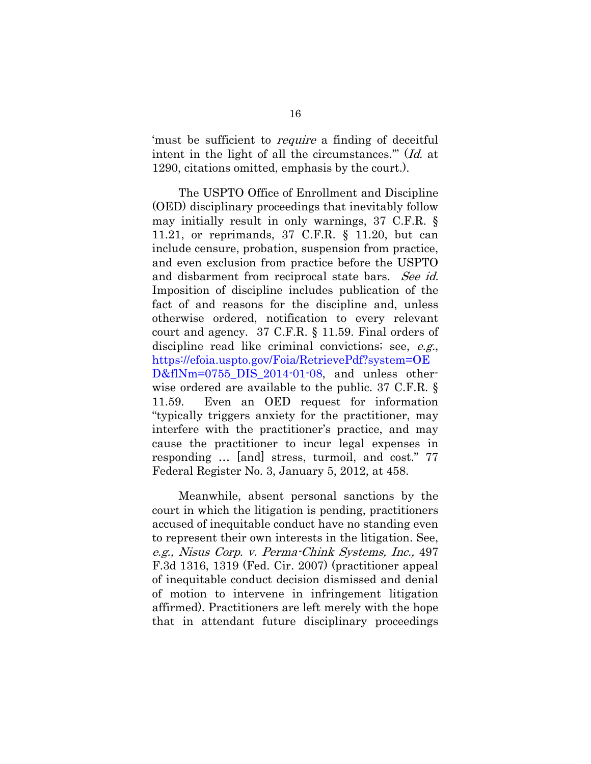'must be sufficient to require a finding of deceitful intent in the light of all the circumstances." (Id. at 1290, citations omitted, emphasis by the court.).

The USPTO Office of Enrollment and Discipline (OED) disciplinary proceedings that inevitably follow may initially result in only warnings, 37 C.F.R. § 11.21, or reprimands, 37 C.F.R. § 11.20, but can include censure, probation, suspension from practice, and even exclusion from practice before the USPTO and disbarment from reciprocal state bars. See id. Imposition of discipline includes publication of the fact of and reasons for the discipline and, unless otherwise ordered, notification to every relevant court and agency. 37 C.F.R. § 11.59. Final orders of discipline read like criminal convictions; see, e.g., https://efoia.uspto.gov/Foia/RetrievePdf?system=OE D&flNm=0755\_DIS\_2014-01-08, and unless otherwise ordered are available to the public. 37 C.F.R. § 11.59. Even an OED request for information "typically triggers anxiety for the practitioner, may interfere with the practitioner's practice, and may cause the practitioner to incur legal expenses in responding … [and] stress, turmoil, and cost." 77 Federal Register No. 3, January 5, 2012, at 458.

Meanwhile, absent personal sanctions by the court in which the litigation is pending, practitioners accused of inequitable conduct have no standing even to represent their own interests in the litigation. See, e.g., Nisus Corp. v. Perma-Chink Systems, Inc., 497 F.3d 1316, 1319 (Fed. Cir. 2007) (practitioner appeal of inequitable conduct decision dismissed and denial of motion to intervene in infringement litigation affirmed). Practitioners are left merely with the hope that in attendant future disciplinary proceedings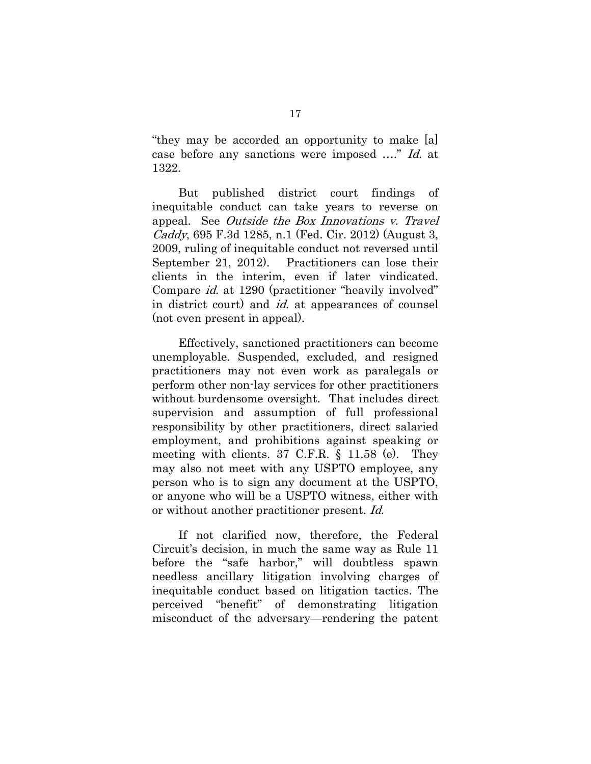"they may be accorded an opportunity to make [a] case before any sanctions were imposed …." Id. at 1322.

But published district court findings of inequitable conduct can take years to reverse on appeal. See Outside the Box Innovations v. Travel Caddy, 695 F.3d 1285, n.1 (Fed. Cir. 2012) (August 3, 2009, ruling of inequitable conduct not reversed until September 21, 2012). Practitioners can lose their clients in the interim, even if later vindicated. Compare id. at 1290 (practitioner "heavily involved" in district court) and *id*, at appearances of counsel (not even present in appeal).

Effectively, sanctioned practitioners can become unemployable. Suspended, excluded, and resigned practitioners may not even work as paralegals or perform other non-lay services for other practitioners without burdensome oversight. That includes direct supervision and assumption of full professional responsibility by other practitioners, direct salaried employment, and prohibitions against speaking or meeting with clients. 37 C.F.R. § 11.58 (e). They may also not meet with any USPTO employee, any person who is to sign any document at the USPTO, or anyone who will be a USPTO witness, either with or without another practitioner present. Id.

If not clarified now, therefore, the Federal Circuit's decision, in much the same way as Rule 11 before the "safe harbor," will doubtless spawn needless ancillary litigation involving charges of inequitable conduct based on litigation tactics. The perceived "benefit" of demonstrating litigation misconduct of the adversary—rendering the patent